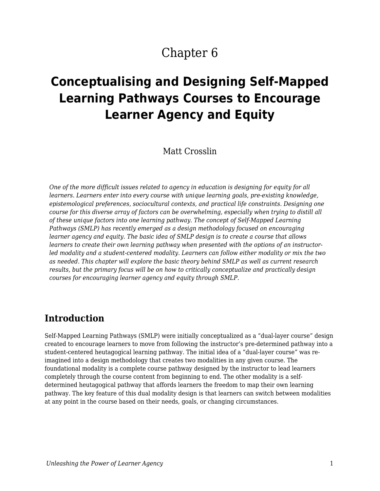# Chapter 6

# **Conceptualising and Designing Self-Mapped Learning Pathways Courses to Encourage Learner Agency and Equity**

Matt Crosslin

*One of the more difficult issues related to agency in education is designing for equity for all learners. Learners enter into every course with unique learning goals, pre-existing knowledge, epistemological preferences, sociocultural contexts, and practical life constraints. Designing one course for this diverse array of factors can be overwhelming, especially when trying to distill all of these unique factors into one learning pathway. The concept of Self-Mapped Learning Pathways (SMLP) has recently emerged as a design methodology focused on encouraging learner agency and equity. The basic idea of SMLP design is to create a course that allows learners to create their own learning pathway when presented with the options of an instructorled modality and a student-centered modality. Learners can follow either modality or mix the two as needed. This chapter will explore the basic theory behind SMLP as well as current research results, but the primary focus will be on how to critically conceptualize and practically design courses for encouraging learner agency and equity through SMLP.*

### **Introduction**

Self-Mapped Learning Pathways (SMLP) were initially conceptualized as a "dual-layer course" design created to encourage learners to move from following the instructor's pre-determined pathway into a student-centered heutagogical learning pathway. The initial idea of a "dual-layer course" was reimagined into a design methodology that creates two modalities in any given course. The foundational modality is a complete course pathway designed by the instructor to lead learners completely through the course content from beginning to end. The other modality is a selfdetermined heutagogical pathway that affords learners the freedom to map their own learning pathway. The key feature of this dual modality design is that learners can switch between modalities at any point in the course based on their needs, goals, or changing circumstances.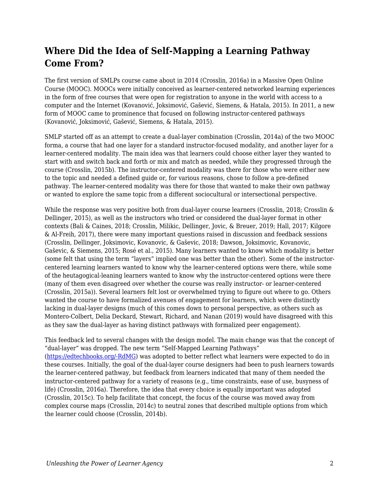## **Where Did the Idea of Self-Mapping a Learning Pathway Come From?**

The first version of SMLPs course came about in 2014 (Crosslin, 2016a) in a Massive Open Online Course (MOOC). MOOCs were initially conceived as learner-centered networked learning experiences in the form of free courses that were open for registration to anyone in the world with access to a computer and the Internet (Kovanović, Joksimović, Gašević, Siemens, & Hatala, 2015). In 2011, a new form of MOOC came to prominence that focused on following instructor-centered pathways (Kovanović, Joksimović, Gašević, Siemens, & Hatala, 2015).

SMLP started off as an attempt to create a dual-layer combination (Crosslin, 2014a) of the two MOOC forma, a course that had one layer for a standard instructor-focused modality, and another layer for a learner-centered modality. The main idea was that learners could choose either layer they wanted to start with and switch back and forth or mix and match as needed, while they progressed through the course (Crosslin, 2015b). The instructor-centered modality was there for those who were either new to the topic and needed a defined guide or, for various reasons, chose to follow a pre-defined pathway. The learner-centered modality was there for those that wanted to make their own pathway or wanted to explore the same topic from a different sociocultural or intersectional perspective.

While the response was very positive both from dual-layer course learners (Crosslin, 2018; Crosslin & Dellinger, 2015), as well as the instructors who tried or considered the dual-layer format in other contexts (Bali & Caines, 2018; Crosslin, Milikic, Dellinger, Jovic, & Breuer, 2019; Hall, 2017; Kilgore & Al-Freih, 2017), there were many important questions raised in discussion and feedback sessions (Crosslin, Dellinger, Joksimovic, Kovanovic, & Gaševic, 2018; Dawson, Joksimovic, Kovanovic, Gaševic, & Siemens, 2015; Rosé et al., 2015). Many learners wanted to know which modality is better (some felt that using the term "layers" implied one was better than the other). Some of the instructorcentered learning learners wanted to know why the learner-centered options were there, while some of the heutagogical-leaning learners wanted to know why the instructor-centered options were there (many of them even disagreed over whether the course was really instructor- or learner-centered (Crosslin, 2015a)). Several learners felt lost or overwhelmed trying to figure out where to go. Others wanted the course to have formalized avenues of engagement for learners, which were distinctly lacking in dual-layer designs (much of this comes down to personal perspective, as others such as Montero-Colbert, Delia Deckard, Stewart, Richard, and Nanan (2019) would have disagreed with this as they saw the dual-layer as having distinct pathways with formalized peer engagement).

This feedback led to several changes with the design model. The main change was that the concept of "dual-layer" was dropped. The new term "Self-Mapped Learning Pathways" ([https://edtechbooks.org/-RdMG\)](https://mattcrosslin.com/pathways/about/) was adopted to better reflect what learners were expected to do in these courses. Initially, the goal of the dual-layer course designers had been to push learners towards the learner-centered pathway, but feedback from learners indicated that many of them needed the instructor-centered pathway for a variety of reasons (e.g., time constraints, ease of use, busyness of life) (Crosslin, 2016a). Therefore, the idea that every choice is equally important was adopted (Crosslin, 2015c). To help facilitate that concept, the focus of the course was moved away from complex course maps (Crosslin, 2014c) to neutral zones that described multiple options from which the learner could choose (Crosslin, 2014b).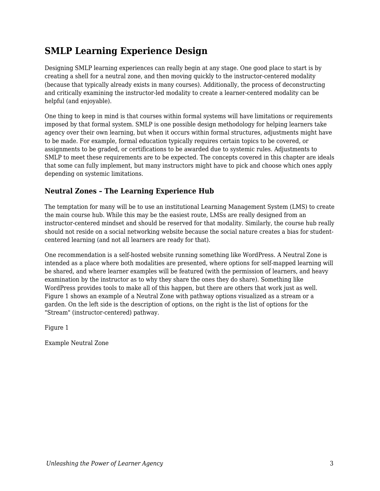## **SMLP Learning Experience Design**

Designing SMLP learning experiences can really begin at any stage. One good place to start is by creating a shell for a neutral zone, and then moving quickly to the instructor-centered modality (because that typically already exists in many courses). Additionally, the process of deconstructing and critically examining the instructor-led modality to create a learner-centered modality can be helpful (and enjoyable).

One thing to keep in mind is that courses within formal systems will have limitations or requirements imposed by that formal system. SMLP is one possible design methodology for helping learners take agency over their own learning, but when it occurs within formal structures, adjustments might have to be made. For example, formal education typically requires certain topics to be covered, or assignments to be graded, or certifications to be awarded due to systemic rules. Adjustments to SMLP to meet these requirements are to be expected. The concepts covered in this chapter are ideals that some can fully implement, but many instructors might have to pick and choose which ones apply depending on systemic limitations.

#### **Neutral Zones – The Learning Experience Hub**

The temptation for many will be to use an institutional Learning Management System (LMS) to create the main course hub. While this may be the easiest route, LMSs are really designed from an instructor-centered mindset and should be reserved for that modality. Similarly, the course hub really should not reside on a social networking website because the social nature creates a bias for studentcentered learning (and not all learners are ready for that).

One recommendation is a self-hosted website running something like WordPress. A Neutral Zone is intended as a place where both modalities are presented, where options for self-mapped learning will be shared, and where learner examples will be featured (with the permission of learners, and heavy examination by the instructor as to why they share the ones they do share). Something like WordPress provides tools to make all of this happen, but there are others that work just as well. Figure 1 shows an example of a Neutral Zone with pathway options visualized as a stream or a garden. On the left side is the description of options, on the right is the list of options for the "Stream" (instructor-centered) pathway.

Figure 1

Example Neutral Zone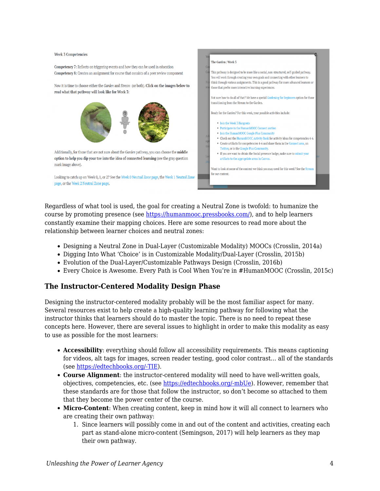

Regardless of what tool is used, the goal for creating a Neutral Zone is twofold: to humanize the course by promoting presence (see [https://humanmooc.pressbooks.com/\)](https://humanmooc.pressbooks.com/), and to help learners constantly examine their mapping choices. Here are some resources to read more about the relationship between learner choices and neutral zones:

- Designing a Neutral Zone in Dual-Layer (Customizable Modality) MOOCs (Crosslin, 2014a)
- Digging Into What 'Choice' is in Customizable Modality/Dual-Layer (Crosslin, 2015b)
- Evolution of the Dual-Layer/Customizable Pathways Design (Crosslin, 2016b)
- Every Choice is Awesome. Every Path is Cool When You're in #HumanMOOC (Crosslin, 2015c)

#### **The Instructor-Centered Modality Design Phase**

Designing the instructor-centered modality probably will be the most familiar aspect for many. Several resources exist to help create a high-quality learning pathway for following what the instructor thinks that learners should do to master the topic. There is no need to repeat these concepts here. However, there are several issues to highlight in order to make this modality as easy to use as possible for the most learners:

- **Accessibility**: everything should follow all accessibility requirements. This means captioning for videos, alt tags for images, screen reader testing, good color contrast… all of the standards (see [https://edtechbooks.org/-TIE](https://accessiblecampus.ca/tools-resources/educators-tool-kit/)).
- **Course Alignment**: the instructor-centered modality will need to have well-written goals, objectives, competencies, etc. (see [https://edtechbooks.org/-mbUe\)](https://bokcenter.harvard.edu/learning-goals-and-learning-objectives). However, remember that these standards are for those that follow the instructor, so don't become so attached to them that they become the power center of the course.
- **Micro-Content**: When creating content, keep in mind how it will all connect to learners who are creating their own pathway:
	- 1. Since learners will possibly come in and out of the content and activities, creating each part as stand-alone micro-content (Semingson, 2017) will help learners as they map their own pathway.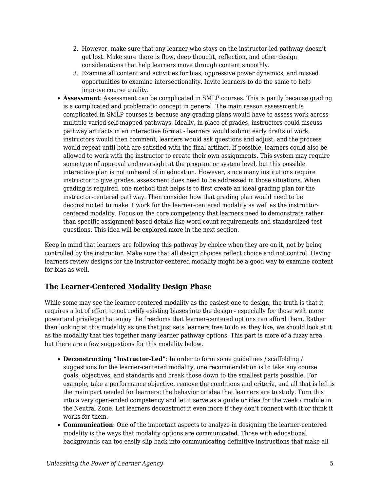- 2. However, make sure that any learner who stays on the instructor-led pathway doesn't get lost. Make sure there is flow, deep thought, reflection, and other design considerations that help learners move through content smoothly.
- 3. Examine all content and activities for bias, oppressive power dynamics, and missed opportunities to examine intersectionality. Invite learners to do the same to help improve course quality.
- **Assessment**: Assessment can be complicated in SMLP courses. This is partly because grading is a complicated and problematic concept in general. The main reason assessment is complicated in SMLP courses is because any grading plans would have to assess work across multiple varied self-mapped pathways. Ideally, in place of grades, instructors could discuss pathway artifacts in an interactive format - learners would submit early drafts of work, instructors would then comment, learners would ask questions and adjust, and the process would repeat until both are satisfied with the final artifact. If possible, learners could also be allowed to work with the instructor to create their own assignments. This system may require some type of approval and oversight at the program or system level, but this possible interactive plan is not unheard of in education. However, since many institutions require instructor to give grades, assessment does need to be addressed in those situations. When grading is required, one method that helps is to first create an ideal grading plan for the instructor-centered pathway. Then consider how that grading plan would need to be deconstructed to make it work for the learner-centered modality as well as the instructorcentered modality. Focus on the core competency that learners need to demonstrate rather than specific assignment-based details like word count requirements and standardized test questions. This idea will be explored more in the next section.

Keep in mind that learners are following this pathway by choice when they are on it, not by being controlled by the instructor. Make sure that all design choices reflect choice and not control. Having learners review designs for the instructor-centered modality might be a good way to examine content for bias as well.

#### **The Learner-Centered Modality Design Phase**

While some may see the learner-centered modality as the easiest one to design, the truth is that it requires a lot of effort to not codify existing biases into the design - especially for those with more power and privilege that enjoy the freedoms that learner-centered options can afford them. Rather than looking at this modality as one that just sets learners free to do as they like, we should look at it as the modality that ties together many learner pathway options. This part is more of a fuzzy area, but there are a few suggestions for this modality below.

- **Deconstructing "Instructor-Led"**: In order to form some guidelines / scaffolding / suggestions for the learner-centered modality, one recommendation is to take any course goals, objectives, and standards and break those down to the smallest parts possible. For example, take a performance objective, remove the conditions and criteria, and all that is left is the main part needed for learners: the behavior or idea that learners are to study. Turn this into a very open-ended competency and let it serve as a guide or idea for the week / module in the Neutral Zone. Let learners deconstruct it even more if they don't connect with it or think it works for them.
- **Communication**: One of the important aspects to analyze in designing the learner-centered modality is the ways that modality options are communicated. Those with educational backgrounds can too easily slip back into communicating definitive instructions that make all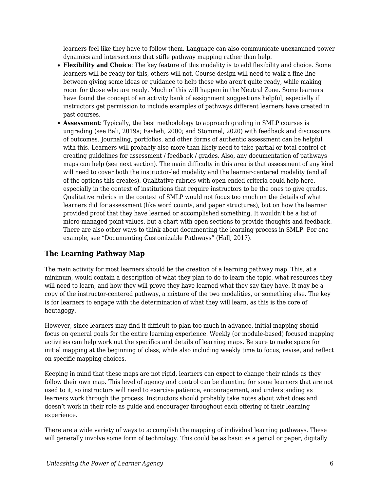learners feel like they have to follow them. Language can also communicate unexamined power dynamics and intersections that stifle pathway mapping rather than help.

- **Flexibility and Choice**: The key feature of this modality is to add flexibility and choice. Some learners will be ready for this, others will not. Course design will need to walk a fine line between giving some ideas or guidance to help those who aren't quite ready, while making room for those who are ready. Much of this will happen in the Neutral Zone. Some learners have found the concept of an activity bank of assignment suggestions helpful, especially if instructors get permission to include examples of pathways different learners have created in past courses.
- **Assessment**: Typically, the best methodology to approach grading in SMLP courses is ungrading (see Bali, 2019a; Fasheh, 2000; and Stommel, 2020) with feedback and discussions of outcomes. Journaling, portfolios, and other forms of authentic assessment can be helpful with this. Learners will probably also more than likely need to take partial or total control of creating guidelines for assessment / feedback / grades. Also, any documentation of pathways maps can help (see next section). The main difficulty in this area is that assessment of any kind will need to cover both the instructor-led modality and the learner-centered modality (and all of the options this creates). Qualitative rubrics with open-ended criteria could help here, especially in the context of institutions that require instructors to be the ones to give grades. Qualitative rubrics in the context of SMLP would not focus too much on the details of what learners did for assessment (like word counts, and paper structures), but on how the learner provided proof that they have learned or accomplished something. It wouldn't be a list of micro-managed point values, but a chart with open sections to provide thoughts and feedback. There are also other ways to think about documenting the learning process in SMLP. For one example, see "Documenting Customizable Pathways" (Hall, 2017).

#### **The Learning Pathway Map**

The main activity for most learners should be the creation of a learning pathway map. This, at a minimum, would contain a description of what they plan to do to learn the topic, what resources they will need to learn, and how they will prove they have learned what they say they have. It may be a copy of the instructor-centered pathway, a mixture of the two modalities, or something else. The key is for learners to engage with the determination of what they will learn, as this is the core of heutagogy.

However, since learners may find it difficult to plan too much in advance, initial mapping should focus on general goals for the entire learning experience. Weekly (or module-based) focused mapping activities can help work out the specifics and details of learning maps. Be sure to make space for initial mapping at the beginning of class, while also including weekly time to focus, revise, and reflect on specific mapping choices.

Keeping in mind that these maps are not rigid, learners can expect to change their minds as they follow their own map. This level of agency and control can be daunting for some learners that are not used to it, so instructors will need to exercise patience, encouragement, and understanding as learners work through the process. Instructors should probably take notes about what does and doesn't work in their role as guide and encourager throughout each offering of their learning experience.

There are a wide variety of ways to accomplish the mapping of individual learning pathways. These will generally involve some form of technology. This could be as basic as a pencil or paper, digitally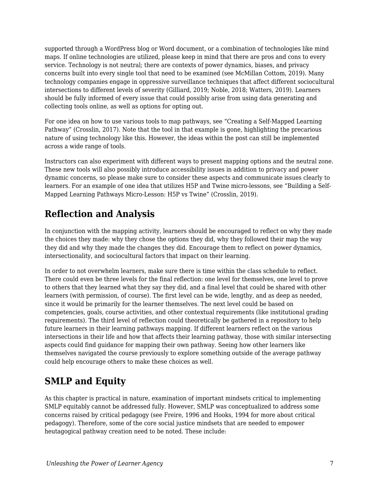supported through a WordPress blog or Word document, or a combination of technologies like mind maps. If online technologies are utilized, please keep in mind that there are pros and cons to every service. Technology is not neutral; there are contexts of power dynamics, biases, and privacy concerns built into every single tool that need to be examined (see McMillan Cottom, 2019). Many technology companies engage in oppressive surveillance techniques that affect different sociocultural intersections to different levels of severity (Gilliard, 2019; Noble, 2018; Watters, 2019). Learners should be fully informed of every issue that could possibly arise from using data generating and collecting tools online, as well as options for opting out.

For one idea on how to use various tools to map pathways, see "Creating a Self-Mapped Learning Pathway" (Crosslin, 2017). Note that the tool in that example is gone, highlighting the precarious nature of using technology like this. However, the ideas within the post can still be implemented across a wide range of tools.

Instructors can also experiment with different ways to present mapping options and the neutral zone. These new tools will also possibly introduce accessibility issues in addition to privacy and power dynamic concerns, so please make sure to consider these aspects and communicate issues clearly to learners. For an example of one idea that utilizes H5P and Twine micro-lessons, see "Building a Self-Mapped Learning Pathways Micro-Lesson: H5P vs Twine" (Crosslin, 2019).

## **Reflection and Analysis**

In conjunction with the mapping activity, learners should be encouraged to reflect on why they made the choices they made: why they chose the options they did, why they followed their map the way they did and why they made the changes they did. Encourage them to reflect on power dynamics, intersectionality, and sociocultural factors that impact on their learning.

In order to not overwhelm learners, make sure there is time within the class schedule to reflect. There could even be three levels for the final reflection: one level for themselves, one level to prove to others that they learned what they say they did, and a final level that could be shared with other learners (with permission, of course). The first level can be wide, lengthy, and as deep as needed, since it would be primarily for the learner themselves. The next level could be based on competencies, goals, course activities, and other contextual requirements (like institutional grading requirements). The third level of reflection could theoretically be gathered in a repository to help future learners in their learning pathways mapping. If different learners reflect on the various intersections in their life and how that affects their learning pathway, those with similar intersecting aspects could find guidance for mapping their own pathway. Seeing how other learners like themselves navigated the course previously to explore something outside of the average pathway could help encourage others to make these choices as well.

## **SMLP and Equity**

As this chapter is practical in nature, examination of important mindsets critical to implementing SMLP equitably cannot be addressed fully. However, SMLP was conceptualized to address some concerns raised by critical pedagogy (see Freire, 1996 and Hooks, 1994 for more about critical pedagogy). Therefore, some of the core social justice mindsets that are needed to empower heutagogical pathway creation need to be noted. These include: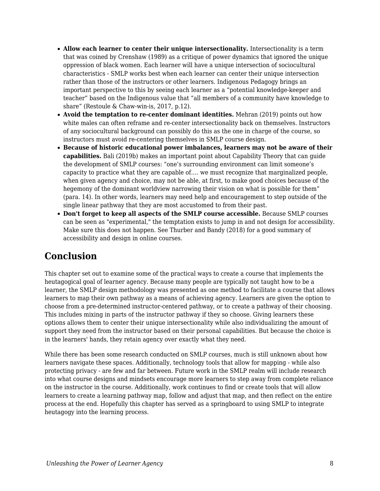- **Allow each learner to center their unique intersectionality.** Intersectionality is a term that was coined by Crenshaw (1989) as a critique of power dynamics that ignored the unique oppression of black women. Each learner will have a unique intersection of sociocultural characteristics - SMLP works best when each learner can center their unique intersection rather than those of the instructors or other learners. Indigenous Pedagogy brings an important perspective to this by seeing each learner as a "potential knowledge-keeper and teacher" based on the Indigenous value that "all members of a community have knowledge to share" (Restoule & Chaw-win-is, 2017, p.12).
- **Avoid the temptation to re-center dominant identities.** Mehran (2019) points out how white males can often reframe and re-center intersectionality back on themselves. Instructors of any sociocultural background can possibly do this as the one in charge of the course, so instructors must avoid re-centering themselves in SMLP course design.
- **Because of historic educational power imbalances, learners may not be aware of their capabilities.** Bali (2019b) makes an important point about Capability Theory that can guide the development of SMLP courses: "one's surrounding environment can limit someone's capacity to practice what they are capable of…. we must recognize that marginalized people, when given agency and choice, may not be able, at first, to make good choices because of the hegemony of the dominant worldview narrowing their vision on what is possible for them" (para. 14). In other words, learners may need help and encouragement to step outside of the single linear pathway that they are most accustomed to from their past.
- **Don't forget to keep all aspects of the SMLP course accessible.** Because SMLP courses can be seen as "experimental," the temptation exists to jump in and not design for accessibility. Make sure this does not happen. See Thurber and Bandy (2018) for a good summary of accessibility and design in online courses.

### **Conclusion**

This chapter set out to examine some of the practical ways to create a course that implements the heutagogical goal of learner agency. Because many people are typically not taught how to be a learner, the SMLP design methodology was presented as one method to facilitate a course that allows learners to map their own pathway as a means of achieving agency. Learners are given the option to choose from a pre-determined instructor-centered pathway, or to create a pathway of their choosing. This includes mixing in parts of the instructor pathway if they so choose. Giving learners these options allows them to center their unique intersectionality while also individualizing the amount of support they need from the instructor based on their personal capabilities. But because the choice is in the learners' hands, they retain agency over exactly what they need.

While there has been some research conducted on SMLP courses, much is still unknown about how learners navigate these spaces. Additionally, technology tools that allow for mapping - while also protecting privacy - are few and far between. Future work in the SMLP realm will include research into what course designs and mindsets encourage more learners to step away from complete reliance on the instructor in the course. Additionally, work continues to find or create tools that will allow learners to create a learning pathway map, follow and adjust that map, and then reflect on the entire process at the end. Hopefully this chapter has served as a springboard to using SMLP to integrate heutagogy into the learning process.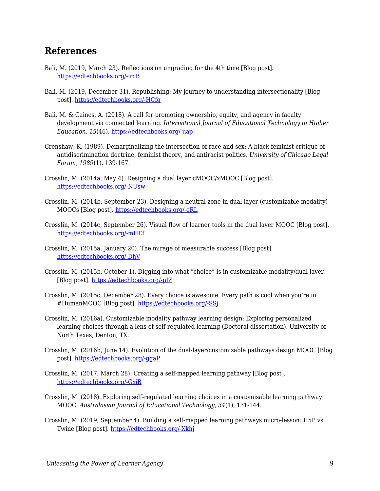### **References**

- Bali, M. (2019, March 23). Reflections on ungrading for the 4th time [Blog post]. [https://edtechbooks.org/-ircB](https://blog.mahabali.me/pedagogy/reflections-on-ungrading-for-the-4th-time/)
- Bali, M. (2019, December 31). Republishing: My journey to understanding intersectionality [Blog post]. [https://edtechbooks.org/-HCfg](https://blog.mahabali.me/pedagogy/critical-pedagogy/republishing-my-journey-to-understandingintersectionality/)
- Bali, M. & Caines, A. (2018). A call for promoting ownership, equity, and agency in faculty development via connected learning. *International Journal of Educational Technology in Higher Education, 15*(46). [https://edtechbooks.org/-uap](https://doi.org/10.1186/s41239-018-0128-8)
- Crenshaw, K. (1989). Demarginalizing the intersection of race and sex: A black feminist critique of antidiscrimination doctrine, feminist theory, and antiracist politics. *University of Chicago Legal Forum, 1989*(1), 139-167.
- Crosslin, M. (2014a, May 4). Designing a dual layer cMOOC/xMOOC [Blog post]. [https://edtechbooks.org/-NUsw](https://www.edugeekjournal.com/2014/05/04/designing-a-dual-layer-cmoocxmooc/)
- Crosslin, M. (2014b, September 23). Designing a neutral zone in dual-layer (customizable modality) MOOCs [Blog post]. [https://edtechbooks.org/-eRL](https://www.edugeekjournal.com/2015/09/23/designing-a-neutral-zone-in-dual-layer-customizable-moldality-moocs/)
- Crosslin, M. (2014c, September 26). Visual flow of learner tools in the dual layer MOOC [Blog post]. [https://edtechbooks.org/-mHEf](https://www.edugeekjournal.com/2014/09/26/visual-flow-of-learner-tools-in-the-dual-layer-mooc/)
- Crosslin, M. (2015a, January 20). The mirage of measurable success [Blog post]. [https://edtechbooks.org/-DhV](https://www.edugeekjournal.com/2015/01/20/the-mirage-of-measurable-success/)
- Crosslin, M. (2015b, October 1). Digging into what "choice" is in customizable modality/dual-layer [Blog post]. [https://edtechbooks.org/-pIZ](https://www.edugeekjournal.com/2015/10/01/digging-into-what-choice-is-in-customizable-modalitydual-layer/)
- Crosslin, M. (2015c, December 28). Every choice is awesome. Every path is cool when you're in #HumanMOOC [Blog post]. https://edtechbooks.org/-SSi
- Crosslin, M. (2016a). Customizable modality pathway learning design: Exploring personalized learning choices through a lens of self-regulated learning (Doctoral dissertation). University of North Texas, Denton, TX.
- Crosslin, M. (2016b, June 14). Evolution of the dual-layer/customizable pathways design MOOC [Blog post]. [https://edtechbooks.org/-ggaP](https://www.edugeekjournal.com/2016/06/14/evolution-of-the-dual-layercustomizable-pathways-design/)
- Crosslin, M. (2017, March 28). Creating a self-mapped learning pathway [Blog post]. [https://edtechbooks.org/-GxiB](https://www.edugeekjournal.com/2017/03/28/creating-a-self-mapped-learning-pathway/)
- Crosslin, M. (2018). Exploring self-regulated learning choices in a customisable learning pathway MOOC. *Australasian Journal of Educational Technology, 34*(1), 131-144.
- Crosslin, M. (2019, September 4). Building a self-mapped learning pathways micro-lesson: H5P vs Twine [Blog post]. [https://edtechbooks.org/-Xkhj](https://www.edugeekjournal.com/2019/09/04/building-a-self-mapped-learning-pathways-micro-lesson-h5p-vs-twine/)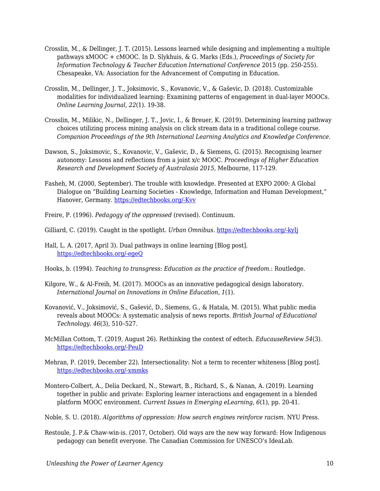- Crosslin, M., & Dellinger, J. T. (2015). Lessons learned while designing and implementing a multiple pathways xMOOC + cMOOC. In D. Slykhuis, & G. Marks (Eds.), *Proceedings of Society for Information Technology & Teacher Education International Conference* 2015 (pp. 250-255). Chesapeake, VA: Association for the Advancement of Computing in Education.
- Crosslin, M., Dellinger, J. T., Joksimovic, S., Kovanovic, V., & Gaševic, D. (2018). Customizable modalities for individualized learning: Examining patterns of engagement in dual-layer MOOCs. *Online Learning Journal, 22*(1). 19-38.
- Crosslin, M., Milikic, N., Dellinger, J. T., Jovic, I., & Breuer, K. (2019). Determining learning pathway choices utilizing process mining analysis on click stream data in a traditional college course. *Companion Proceedings of the 9th International Learning Analytics and Knowledge Conference*.
- Dawson, S., Joksimovic, S., Kovanovic, V., Gaševic, D., & Siemens, G. (2015). Recognising learner autonomy: Lessons and reflections from a joint x/c MOOC. *Proceedings of Higher Education Research and Development Society of Australasia 2015*, Melbourne, 117-129.
- Fasheh, M. (2000, September). The trouble with knowledge. Presented at EXPO 2000: A Global Dialogue on "Building Learning Societies - Knowledge, Information and Human Development," Hanover, Germany. [https://edtechbooks.org/-Kvv](http://www.swaraj.org/shikshantar/resources_fasheh.html)
- Freire, P. (1996). *Pedagogy of the oppressed* (revised). Continuum.
- Gilliard, C. (2019). Caught in the spotlight. *Urban Omnibus*. [https://edtechbooks.org/-kyIj](https://urbanomnibus.net/2020/01/caught-in-the-spotlight/)
- Hall, L. A. (2017, April 3). Dual pathways in online learning [Blog post]. [https://edtechbooks.org/-egeQ](http://teachingacademia.com/index.php/2017/04/03/dual-pathways-in-online-learning/)
- Hooks, b. (1994). *Teaching to transgress: Education as the practice of freedom*.: Routledge.
- Kilgore, W., & Al-Freih, M. (2017). MOOCs as an innovative pedagogical design laboratory. *International Journal on Innovations in Online Education, 1*(1).
- Kovanović, V., Joksimović, S., Gašević, D., Siemens, G., & Hatala, M. (2015). What public media reveals about MOOCs: A systematic analysis of news reports. *British Journal of Educational Technology. 46*(3), 510–527.
- McMillan Cottom, T. (2019, August 26). Rethinking the context of edtech. *EducauseReview 54*(3). [https://edtechbooks.org/-PeuD](https://er.educause.edu/articles/2019/8/rethinking-the-context-of-edtech)
- Mehran, P. (2019, December 22). Intersectionality: Not a term to recenter whiteness [Blog post]. [https://edtechbooks.org/-xmmks](https://womenofcolorinelt.wordpress.com/2019/12/22/intersectionality-not-a-term-to-recenter-whiteness/)
- Montero-Colbert, A., Delia Deckard, N., Stewart, B., Richard, S., & Nanan, A. (2019). Learning together in public and private: Exploring learner interactions and engagement in a blended platform MOOC environment. *Current Issues in Emerging eLearning, 6*(1), pp. 20-41.
- Noble, S. U. (2018). *Algorithms of oppression: How search engines reinforce racism*. NYU Press.
- Restoule, J. P.& Chaw-win-is. (2017, October). Old ways are the new way forward: How Indigenous pedagogy can benefit everyone. The Canadian Commission for UNESCO's IdeaLab.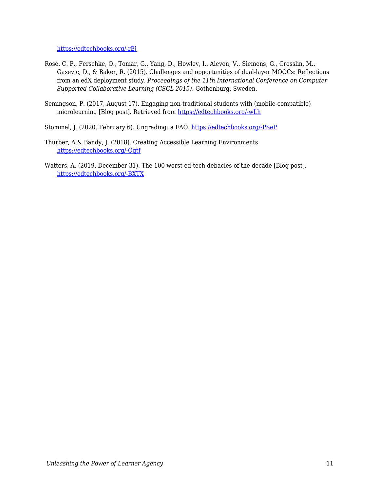[https://edtechbooks.org/-rEj](https://en.ccunesco.ca/-/media/Files/Unesco/OurThemes/EncouragingInnovation/20171026_Old-ways-are-the-new-way-forward_How-Indigenous-pedagogy-can-benefit-everyone_FINAL.pdf)

- Rosé, C. P., Ferschke, O., Tomar, G., Yang, D., Howley, I., Aleven, V., Siemens, G., Crosslin, M., Gasevic, D., & Baker, R. (2015). Challenges and opportunities of dual-layer MOOCs: Reflections from an edX deployment study. *Proceedings of the 11th International Conference on Computer Supported Collaborative Learning (CSCL 2015)*. Gothenburg, Sweden.
- Semingson, P. (2017, August 17). Engaging non-traditional students with (mobile-compatible) microlearning [Blog post]. Retrieved from [https://edtechbooks.org/-wLh](https://evolllution.com/programming/teaching-and-learning/engaging-non-traditional-students-with-mobile-compatible-microlearning/)
- Stommel, J. (2020, February 6). Ungrading: a FAQ. [https://edtechbooks.org/-PSeP](https://www.jessestommel.com/ungrading-an-faq/)
- Thurber, A.& Bandy, J. (2018). Creating Accessible Learning Environments. [https://edtechbooks.org/-Qqtf](http://cft.vanderbilt.edu/guides-sub-pages/creating-accessible-learning-environments/)
- Watters, A. (2019, December 31). The 100 worst ed-tech debacles of the decade [Blog post]. [https://edtechbooks.org/-BXTX](http://hackeducation.com/2019/12/31/what-a-shitshow)